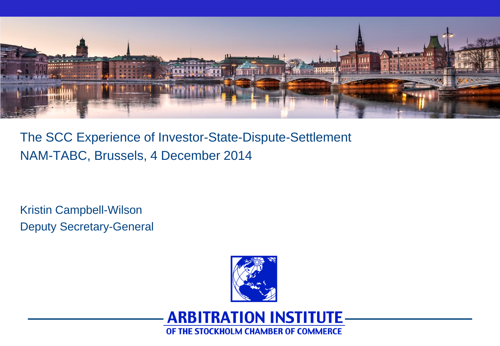

The SCC Experience of Investor-State-Dispute-Settlement NAM-TABC, Brussels, 4 December 2014

Kristin Campbell-Wilson Deputy Secretary-General



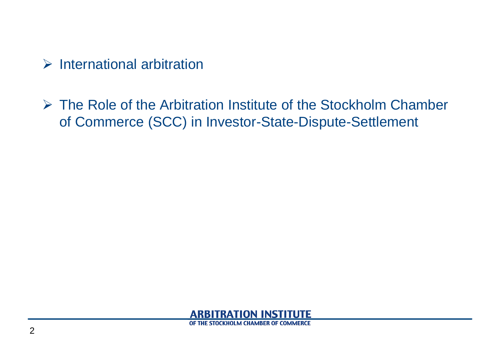$\triangleright$  International arbitration

 The Role of the Arbitration Institute of the Stockholm Chamber of Commerce (SCC) in Investor-State-Dispute-Settlement

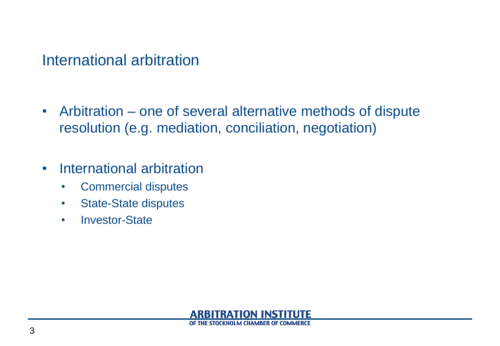### International arbitration

- Arbitration one of several alternative methods of dispute resolution (e.g. mediation, conciliation, negotiation)
- International arbitration
	- Commercial disputes
	- State-State disputes
	- Investor-State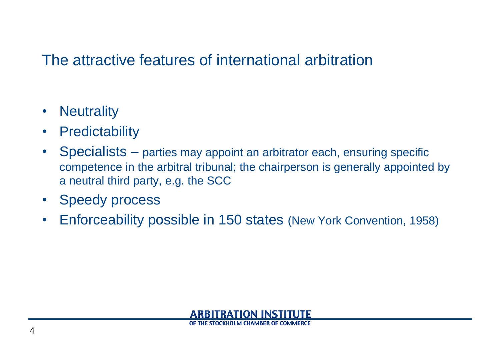## The attractive features of international arbitration

- Neutrality
- Predictability
- Specialists parties may appoint an arbitrator each, ensuring specific competence in the arbitral tribunal; the chairperson is generally appointed by a neutral third party, e.g. the SCC
- Speedy process
- Enforceability possible in 150 states (New York Convention, 1958)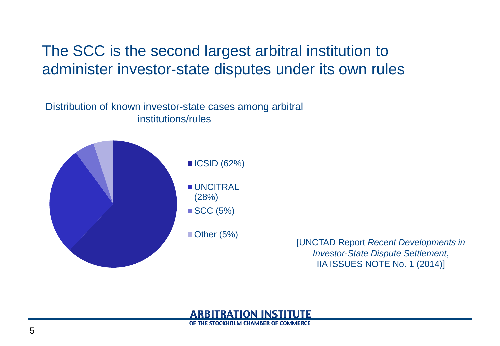## The SCC is the second largest arbitral institution to administer investor-state disputes under its own rules

Distribution of known investor-state cases among arbitral institutions/rules



[UNCTAD Report *Recent Developments in Investor-State Dispute Settlement*, IIA ISSUES NOTE No. 1 (2014)]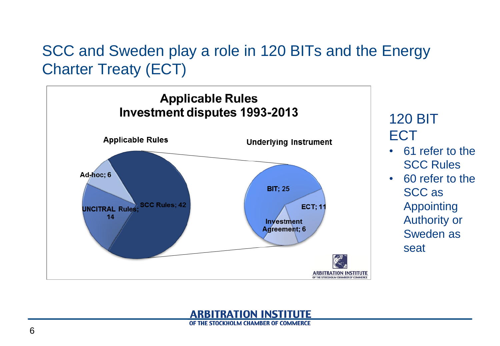# SCC and Sweden play a role in 120 BITs and the Energy Charter Treaty (ECT)



#### 120 BIT ECT

- 61 refer to the SCC Rules
- 60 refer to the SCC as Appointing Authority or Sweden as seat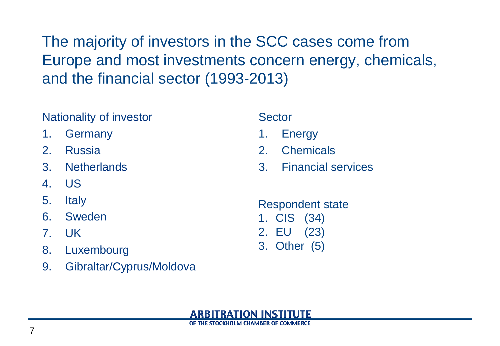The majority of investors in the SCC cases come from Europe and most investments concern energy, chemicals, and the financial sector (1993-2013)

#### Nationality of investor

- 1. Germany
- 2. Russia
- 3. Netherlands
- 4. US
- 5. Italy
- 6. Sweden
- 7. UK
- 8. Luxembourg
- 9. Gibraltar/Cyprus/Moldova

Sector

- 1. Energy
- 2. Chemicals
- 3. Financial services

Respondent state

- 1. CIS (34) 2. EU (23)
- 3. Other (5)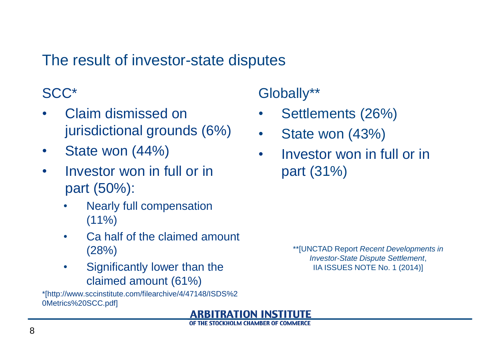## The result of investor-state disputes

## SCC\*

- Claim dismissed on jurisdictional grounds (6%)
- State won (44%)
- Investor won in full or in part (50%):
	- Nearly full compensation  $(11\%)$
	- Ca half of the claimed amount (28%)
	- Significantly lower than the claimed amount (61%)

\*[http://www.sccinstitute.com/filearchive/4/47148/ISDS%2 0Metrics%20SCC.pdf]

Globally\*\*

- Settlements (26%)
- State won (43%)
- Investor won in full or in part (31%)

\*\*[UNCTAD Report *Recent Developments in Investor-State Dispute Settlement*, IIA ISSUES NOTE No. 1 (2014)]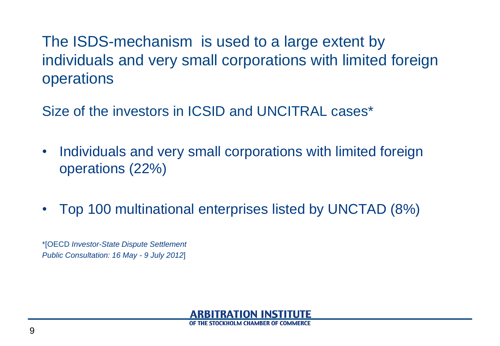## The ISDS-mechanism is used to a large extent by individuals and very small corporations with limited foreign operations

Size of the investors in ICSID and UNCITRAL cases\*

- Individuals and very small corporations with limited foreign operations (22%)
- Top 100 multinational enterprises listed by UNCTAD (8%)

\*[OECD *Investor-State Dispute Settlement Public Consultation: 16 May - 9 July 2012*]

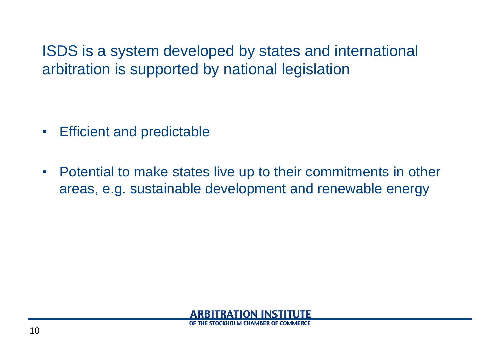ISDS is a system developed by states and international arbitration is supported by national legislation

- Efficient and predictable
- Potential to make states live up to their commitments in other areas, e.g. sustainable development and renewable energy